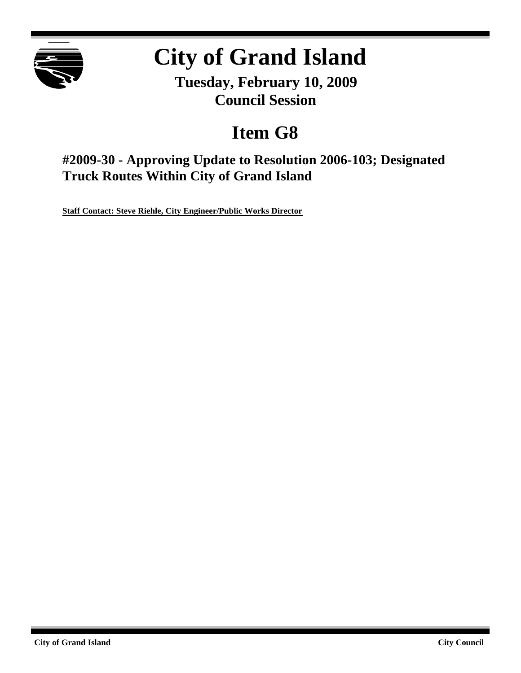

# **City of Grand Island**

**Tuesday, February 10, 2009 Council Session**

# **Item G8**

**#2009-30 - Approving Update to Resolution 2006-103; Designated Truck Routes Within City of Grand Island**

**Staff Contact: Steve Riehle, City Engineer/Public Works Director**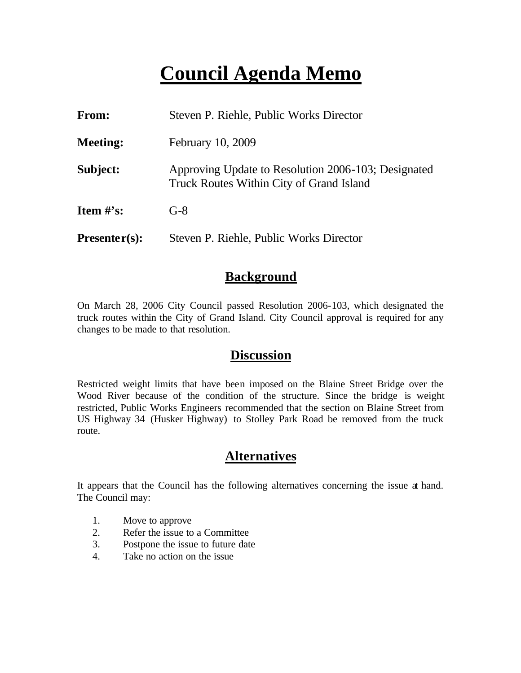# **Council Agenda Memo**

| From:           | Steven P. Riehle, Public Works Director                                                         |
|-----------------|-------------------------------------------------------------------------------------------------|
| <b>Meeting:</b> | February 10, 2009                                                                               |
| Subject:        | Approving Update to Resolution 2006-103; Designated<br>Truck Routes Within City of Grand Island |
| Item $\#$ 's:   | $G-8$                                                                                           |
| $Presenter(s):$ | Steven P. Riehle, Public Works Director                                                         |

### **Background**

On March 28, 2006 City Council passed Resolution 2006-103, which designated the truck routes within the City of Grand Island. City Council approval is required for any changes to be made to that resolution.

#### **Discussion**

Restricted weight limits that have been imposed on the Blaine Street Bridge over the Wood River because of the condition of the structure. Since the bridge is weight restricted, Public Works Engineers recommended that the section on Blaine Street from US Highway 34 (Husker Highway) to Stolley Park Road be removed from the truck route.

# **Alternatives**

It appears that the Council has the following alternatives concerning the issue at hand. The Council may:

- 1. Move to approve
- 2. Refer the issue to a Committee
- 3. Postpone the issue to future date
- 4. Take no action on the issue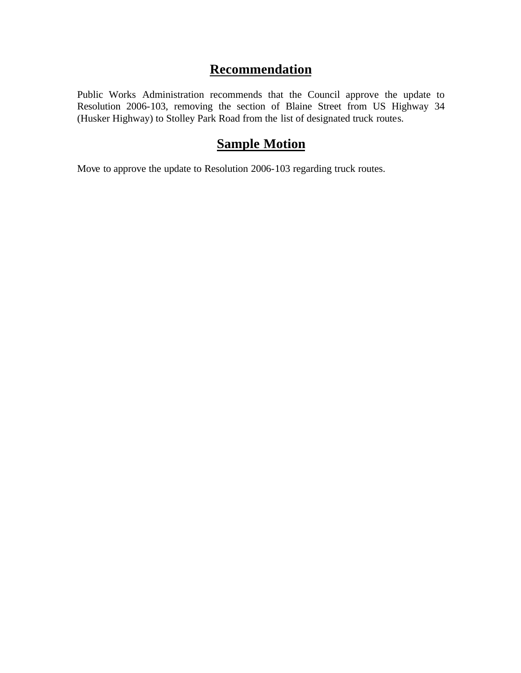# **Recommendation**

Public Works Administration recommends that the Council approve the update to Resolution 2006-103, removing the section of Blaine Street from US Highway 34 (Husker Highway) to Stolley Park Road from the list of designated truck routes.

# **Sample Motion**

Move to approve the update to Resolution 2006-103 regarding truck routes.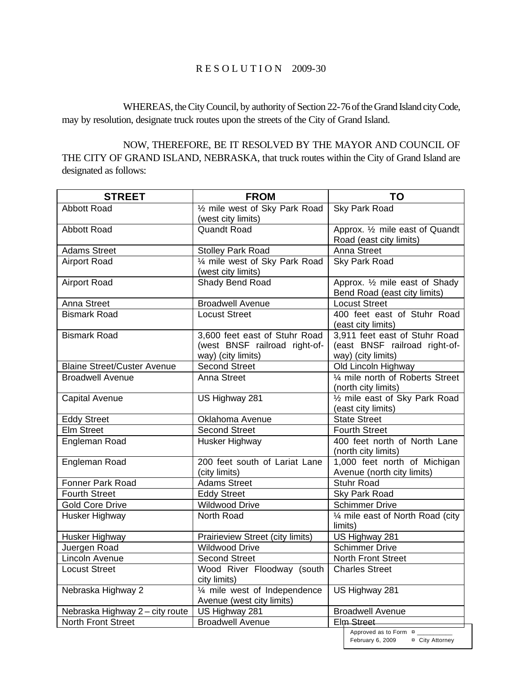#### R E S O L U T I O N 2009-30

WHEREAS, the City Council, by authority of Section 22-76 of the Grand Island city Code, may by resolution, designate truck routes upon the streets of the City of Grand Island.

NOW, THEREFORE, BE IT RESOLVED BY THE MAYOR AND COUNCIL OF THE CITY OF GRAND ISLAND, NEBRASKA, that truck routes within the City of Grand Island are designated as follows:

| <b>STREET</b>                      | <b>FROM</b>                      | TO                                                  |
|------------------------------------|----------------------------------|-----------------------------------------------------|
| <b>Abbott Road</b>                 | 1/2 mile west of Sky Park Road   | Sky Park Road                                       |
|                                    | (west city limits)               |                                                     |
| <b>Abbott Road</b>                 | <b>Quandt Road</b>               | Approx. 1/2 mile east of Quandt                     |
|                                    |                                  | Road (east city limits)                             |
| <b>Adams Street</b>                | <b>Stolley Park Road</b>         | Anna Street                                         |
| <b>Airport Road</b>                | 1/4 mile west of Sky Park Road   | Sky Park Road                                       |
|                                    | (west city limits)               |                                                     |
| <b>Airport Road</b>                | Shady Bend Road                  | Approx. 1/2 mile east of Shady                      |
| Anna Street                        | <b>Broadwell Avenue</b>          | Bend Road (east city limits)                        |
| <b>Bismark Road</b>                | <b>Locust Street</b>             | <b>Locust Street</b><br>400 feet east of Stuhr Road |
|                                    |                                  | (east city limits)                                  |
| <b>Bismark Road</b>                | 3,600 feet east of Stuhr Road    | 3,911 feet east of Stuhr Road                       |
|                                    | (west BNSF railroad right-of-    | (east BNSF railroad right-of-                       |
|                                    | way) (city limits)               | way) (city limits)                                  |
| <b>Blaine Street/Custer Avenue</b> | <b>Second Street</b>             | Old Lincoln Highway                                 |
| <b>Broadwell Avenue</b>            | Anna Street                      | 1/4 mile north of Roberts Street                    |
|                                    |                                  | (north city limits)                                 |
| <b>Capital Avenue</b>              | US Highway 281                   | 1/2 mile east of Sky Park Road                      |
|                                    |                                  | (east city limits)                                  |
| <b>Eddy Street</b>                 | Oklahoma Avenue                  | <b>State Street</b>                                 |
| <b>Elm Street</b>                  | <b>Second Street</b>             | <b>Fourth Street</b>                                |
| Engleman Road                      | Husker Highway                   | 400 feet north of North Lane                        |
|                                    |                                  | (north city limits)                                 |
| Engleman Road                      | 200 feet south of Lariat Lane    | 1,000 feet north of Michigan                        |
|                                    | (city limits)                    | Avenue (north city limits)                          |
| <b>Fonner Park Road</b>            | <b>Adams Street</b>              | <b>Stuhr Road</b>                                   |
| <b>Fourth Street</b>               | <b>Eddy Street</b>               | Sky Park Road                                       |
| <b>Gold Core Drive</b>             | <b>Wildwood Drive</b>            | <b>Schimmer Drive</b>                               |
| Husker Highway                     | North Road                       | 1/4 mile east of North Road (city<br>limits)        |
| Husker Highway                     | Prairieview Street (city limits) | US Highway 281                                      |
| Juergen Road                       | <b>Wildwood Drive</b>            | <b>Schimmer Drive</b>                               |
| Lincoln Avenue                     | <b>Second Street</b>             | <b>North Front Street</b>                           |
| <b>Locust Street</b>               | Wood River Floodway (south       | <b>Charles Street</b>                               |
|                                    | city limits)                     |                                                     |
| Nebraska Highway 2                 | 1/4 mile west of Independence    | US Highway 281                                      |
|                                    | Avenue (west city limits)        |                                                     |
| Nebraska Highway 2 - city route    | US Highway 281                   | <b>Broadwell Avenue</b>                             |
| North Front Street                 | <b>Broadwell Avenue</b>          | Elm Street                                          |
|                                    |                                  | Approved as to Form ¤                               |

February 6, 2009 ¤ City Attorney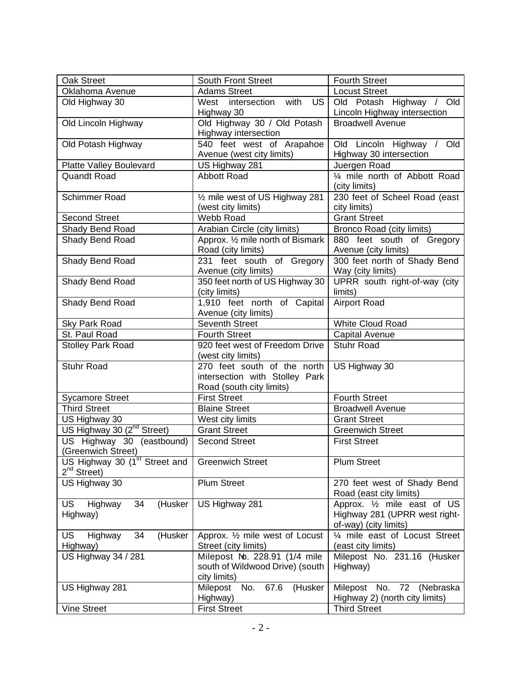| Oak Street                                                    | <b>South Front Street</b>                                                                 | <b>Fourth Street</b>                                                                            |
|---------------------------------------------------------------|-------------------------------------------------------------------------------------------|-------------------------------------------------------------------------------------------------|
| Oklahoma Avenue                                               | <b>Adams Street</b>                                                                       | <b>Locust Street</b>                                                                            |
| Old Highway 30                                                | West intersection<br>with<br><b>US</b>                                                    | Old Potash Highway / Old                                                                        |
|                                                               | Highway 30                                                                                | Lincoln Highway intersection                                                                    |
| Old Lincoln Highway                                           | Old Highway 30 / Old Potash<br>Highway intersection                                       | <b>Broadwell Avenue</b>                                                                         |
| Old Potash Highway                                            | 540 feet west of Arapahoe<br>Avenue (west city limits)                                    | Old Lincoln Highway / Old<br>Highway 30 intersection                                            |
| <b>Platte Valley Boulevard</b>                                | US Highway 281                                                                            | Juergen Road                                                                                    |
| <b>Quandt Road</b>                                            | <b>Abbott Road</b>                                                                        | 1/4 mile north of Abbott Road<br>(city limits)                                                  |
| <b>Schimmer Road</b>                                          | 1/2 mile west of US Highway 281<br>(west city limits)                                     | 230 feet of Scheel Road (east<br>city limits)                                                   |
| <b>Second Street</b>                                          | Webb Road                                                                                 | <b>Grant Street</b>                                                                             |
| Shady Bend Road                                               | Arabian Circle (city limits)                                                              | Bronco Road (city limits)                                                                       |
| Shady Bend Road                                               | Approx. 1/2 mile north of Bismark<br>Road (city limits)                                   | 880 feet south of Gregory<br>Avenue (city limits)                                               |
| Shady Bend Road                                               | 231 feet south of Gregory<br>Avenue (city limits)                                         | 300 feet north of Shady Bend<br>Way (city limits)                                               |
| Shady Bend Road                                               | 350 feet north of US Highway 30<br>(city limits)                                          | UPRR south right-of-way (city<br>limits)                                                        |
| Shady Bend Road                                               | 1,910 feet north of Capital<br>Avenue (city limits)                                       | <b>Airport Road</b>                                                                             |
| Sky Park Road                                                 | Seventh Street                                                                            | <b>White Cloud Road</b>                                                                         |
| St. Paul Road                                                 | <b>Fourth Street</b>                                                                      | Capital Avenue                                                                                  |
| <b>Stolley Park Road</b>                                      | 920 feet west of Freedom Drive<br>(west city limits)                                      | <b>Stuhr Road</b>                                                                               |
| <b>Stuhr Road</b>                                             | 270 feet south of the north<br>intersection with Stolley Park<br>Road (south city limits) | US Highway 30                                                                                   |
| <b>Sycamore Street</b>                                        | <b>First Street</b>                                                                       | <b>Fourth Street</b>                                                                            |
| <b>Third Street</b>                                           | <b>Blaine Street</b>                                                                      | <b>Broadwell Avenue</b>                                                                         |
| US Highway 30                                                 | West city limits                                                                          | <b>Grant Street</b>                                                                             |
| US Highway 30 (2 <sup>nd</sup> Street)                        | <b>Grant Street</b>                                                                       | <b>Greenwich Street</b>                                                                         |
| US Highway 30 (eastbound)<br>(Greenwich Street)               | <b>Second Street</b>                                                                      | <b>First Street</b>                                                                             |
| US Highway 30 (1 <sup>st</sup> Street and<br>$2^{nd}$ Street) | <b>Greenwich Street</b>                                                                   | <b>Plum Street</b>                                                                              |
| US Highway 30                                                 | <b>Plum Street</b>                                                                        | 270 feet west of Shady Bend<br>Road (east city limits)                                          |
| <b>US</b><br>Highway<br>34<br>(Husker<br>Highway)             | US Highway 281                                                                            | Approx. $\frac{1}{2}$ mile east of US<br>Highway 281 (UPRR west right-<br>of-way) (city limits) |
| 34<br><b>US</b><br>Highway<br>(Husker<br>Highway)             | Approx. 1/2 mile west of Locust<br>Street (city limits)                                   | 1/4 mile east of Locust Street<br>(east city limits)                                            |
| US Highway 34 / 281                                           | Milepost No. 228.91 (1/4 mile<br>south of Wildwood Drive) (south<br>city limits)          | Milepost No. 231.16 (Husker<br>Highway)                                                         |
| US Highway 281                                                | No.<br>67.6<br>(Husker<br>Milepost<br>Highway)                                            | Milepost No.<br>72 (Nebraska<br>Highway 2) (north city limits)                                  |
| <b>Vine Street</b>                                            | <b>First Street</b>                                                                       | <b>Third Street</b>                                                                             |